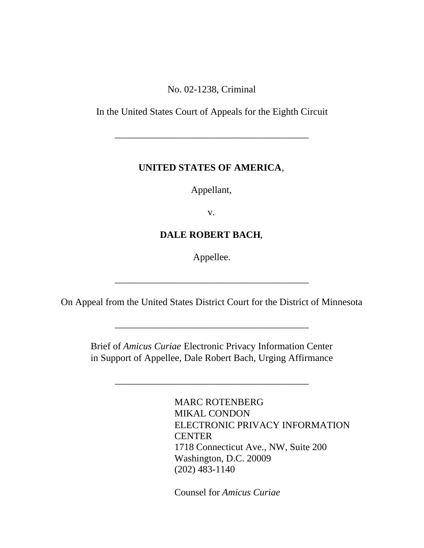No. 02-1238, Criminal

In the United States Court of Appeals for the Eighth Circuit

\_\_\_\_\_\_\_\_\_\_\_\_\_\_\_\_\_\_\_\_\_\_\_\_\_\_\_\_\_\_\_\_\_\_\_\_\_\_\_\_

## **UNITED STATES OF AMERICA**,

Appellant,

v.

# **DALE ROBERT BACH**,

Appellee.

On Appeal from the United States District Court for the District of Minnesota

\_\_\_\_\_\_\_\_\_\_\_\_\_\_\_\_\_\_\_\_\_\_\_\_\_\_\_\_\_\_\_\_\_\_\_\_\_\_\_\_

\_\_\_\_\_\_\_\_\_\_\_\_\_\_\_\_\_\_\_\_\_\_\_\_\_\_\_\_\_\_\_\_\_\_\_\_\_\_\_\_

Brief of *Amicus Curiae* Electronic Privacy Information Center in Support of Appellee, Dale Robert Bach, Urging Affirmance

\_\_\_\_\_\_\_\_\_\_\_\_\_\_\_\_\_\_\_\_\_\_\_\_\_\_\_\_\_\_\_\_\_\_\_\_\_\_\_\_

MARC ROTENBERG MIKAL CONDON ELECTRONIC PRIVACY INFORMATION **CENTER** 1718 Connecticut Ave., NW, Suite 200 Washington, D.C. 20009 (202) 483-1140

Counsel for *Amicus Curiae*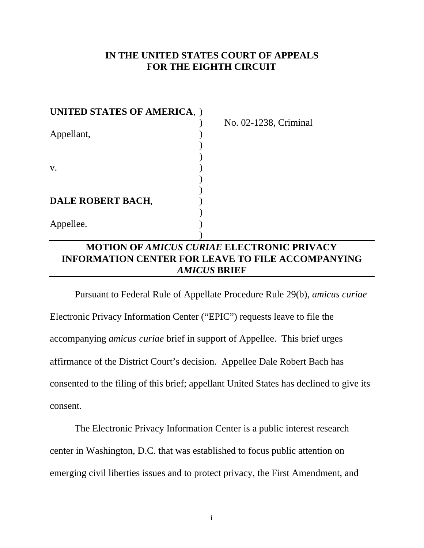## **IN THE UNITED STATES COURT OF APPEALS FOR THE EIGHTH CIRCUIT**

| <b>UNITED STATES OF AMERICA, )</b> |                       |
|------------------------------------|-----------------------|
|                                    | No. 02-1238, Criminal |
| Appellant,                         |                       |
|                                    |                       |
|                                    |                       |
| V.                                 |                       |
|                                    |                       |
|                                    |                       |
| DALE ROBERT BACH,                  |                       |
|                                    |                       |
| Appellee.                          |                       |
|                                    |                       |

## **MOTION OF** *AMICUS CURIAE* **ELECTRONIC PRIVACY INFORMATION CENTER FOR LEAVE TO FILE ACCOMPANYING** *AMICUS* **BRIEF**

Pursuant to Federal Rule of Appellate Procedure Rule 29(b), *amicus curiae* Electronic Privacy Information Center ("EPIC") requests leave to file the accompanying *amicus curiae* brief in support of Appellee. This brief urges affirmance of the District Court's decision. Appellee Dale Robert Bach has consented to the filing of this brief; appellant United States has declined to give its consent.

The Electronic Privacy Information Center is a public interest research center in Washington, D.C. that was established to focus public attention on emerging civil liberties issues and to protect privacy, the First Amendment, and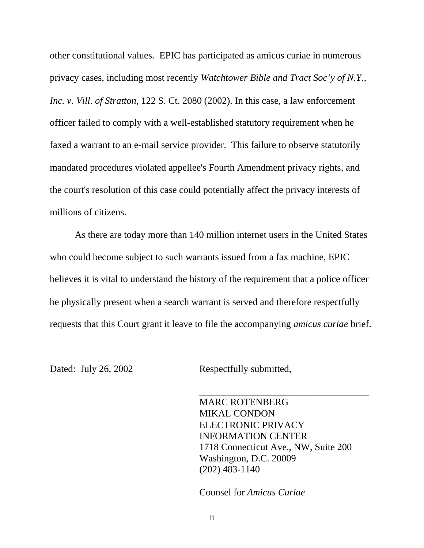other constitutional values. EPIC has participated as amicus curiae in numerous privacy cases, including most recently *Watchtower Bible and Tract Soc'y of N.Y., Inc. v. Vill. of Stratton*, 122 S. Ct. 2080 (2002). In this case, a law enforcement officer failed to comply with a well-established statutory requirement when he faxed a warrant to an e-mail service provider. This failure to observe statutorily mandated procedures violated appellee's Fourth Amendment privacy rights, and the court's resolution of this case could potentially affect the privacy interests of millions of citizens.

As there are today more than 140 million internet users in the United States who could become subject to such warrants issued from a fax machine, EPIC believes it is vital to understand the history of the requirement that a police officer be physically present when a search warrant is served and therefore respectfully requests that this Court grant it leave to file the accompanying *amicus curiae* brief.

Dated: July 26, 2002 Respectfully submitted,

MARC ROTENBERG MIKAL CONDON ELECTRONIC PRIVACY INFORMATION CENTER 1718 Connecticut Ave., NW, Suite 200 Washington, D.C. 20009 (202) 483-1140

\_\_\_\_\_\_\_\_\_\_\_\_\_\_\_\_\_\_\_\_\_\_\_\_\_\_\_\_\_\_\_\_\_\_\_

Counsel for *Amicus Curiae*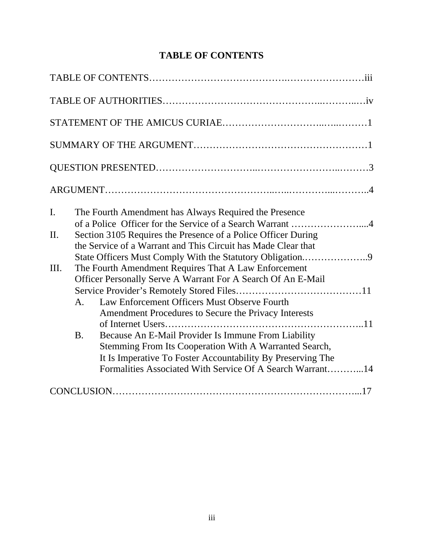# **TABLE OF CONTENTS**

| I.      |                | The Fourth Amendment has Always Required the Presence         |
|---------|----------------|---------------------------------------------------------------|
|         |                | of a Police Officer for the Service of a Search Warrant 4     |
| $\Pi$ . |                | Section 3105 Requires the Presence of a Police Officer During |
|         |                | the Service of a Warrant and This Circuit has Made Clear that |
|         |                | State Officers Must Comply With the Statutory Obligation9     |
| III.    |                | The Fourth Amendment Requires That A Law Enforcement          |
|         |                | Officer Personally Serve A Warrant For A Search Of An E-Mail  |
|         |                |                                                               |
|         | A <sub>1</sub> | Law Enforcement Officers Must Observe Fourth                  |
|         |                | Amendment Procedures to Secure the Privacy Interests          |
|         |                |                                                               |
|         | <b>B.</b>      | Because An E-Mail Provider Is Immune From Liability           |
|         |                | Stemming From Its Cooperation With A Warranted Search,        |
|         |                | It Is Imperative To Foster Accountability By Preserving The   |
|         |                | Formalities Associated With Service Of A Search Warrant14     |
|         |                |                                                               |
|         |                |                                                               |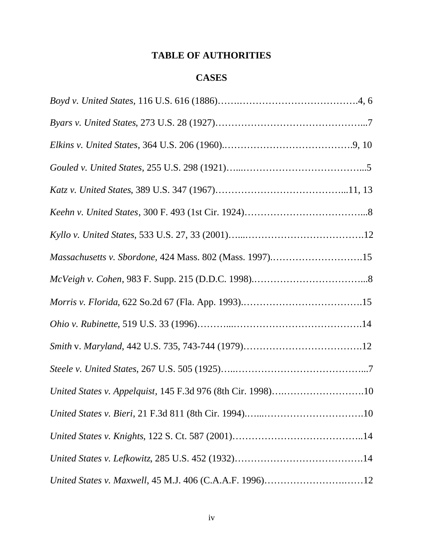## **TABLE OF AUTHORITIES**

## **CASES**

| Massachusetts v. Sbordone, 424 Mass. 802 (Mass. 1997)15     |
|-------------------------------------------------------------|
|                                                             |
|                                                             |
|                                                             |
|                                                             |
|                                                             |
| United States v. Appelquist, 145 F.3d 976 (8th Cir. 1998)10 |
|                                                             |
|                                                             |
|                                                             |
| United States v. Maxwell, 45 M.J. 406 (C.A.A.F. 1996)12     |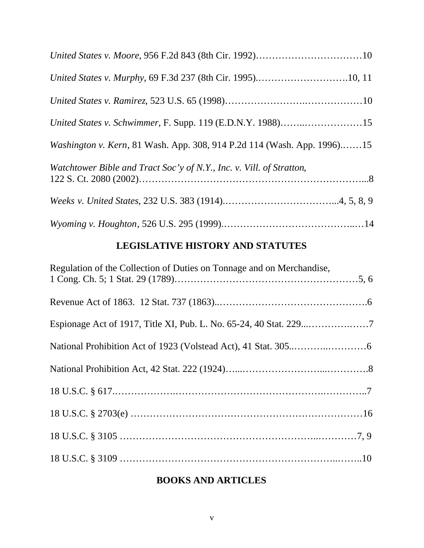| <i>Washington v. Kern</i> , 81 Wash. App. 308, 914 P.2d 114 (Wash. App. 1996)15 |
|---------------------------------------------------------------------------------|
| Watchtower Bible and Tract Soc'y of N.Y., Inc. v. Vill. of Stratton,            |
|                                                                                 |
|                                                                                 |

# **LEGISLATIVE HISTORY AND STATUTES**

| Regulation of the Collection of Duties on Tonnage and on Merchandise, |  |
|-----------------------------------------------------------------------|--|
|                                                                       |  |
|                                                                       |  |
|                                                                       |  |
|                                                                       |  |
|                                                                       |  |
|                                                                       |  |
|                                                                       |  |
|                                                                       |  |

# **BOOKS AND ARTICLES**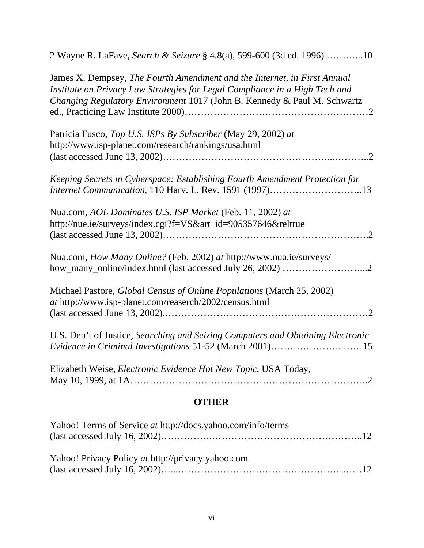| <b>OTHER</b>                                                                                                                                                                                                                        |  |  |
|-------------------------------------------------------------------------------------------------------------------------------------------------------------------------------------------------------------------------------------|--|--|
| Elizabeth Weise, Electronic Evidence Hot New Topic, USA Today,                                                                                                                                                                      |  |  |
| U.S. Dep't of Justice, Searching and Seizing Computers and Obtaining Electronic<br>Evidence in Criminal Investigations 51-52 (March 2001)15                                                                                         |  |  |
| Michael Pastore, Global Census of Online Populations (March 25, 2002)<br>at http://www.isp-planet.com/reaserch/2002/census.html                                                                                                     |  |  |
| Nua.com, How Many Online? (Feb. 2002) at http://www.nua.ie/surveys/                                                                                                                                                                 |  |  |
| Nua.com, AOL Dominates U.S. ISP Market (Feb. 11, 2002) at<br>http://nue.ie/surveys/index.cgi?f=VS&art_id=905357646&reltrue                                                                                                          |  |  |
| Keeping Secrets in Cyberspace: Establishing Fourth Amendment Protection for<br>Internet Communication, 110 Harv. L. Rev. 1591 (1997)13                                                                                              |  |  |
| Patricia Fusco, Top U.S. ISPs By Subscriber (May 29, 2002) at<br>http://www.isp-planet.com/research/rankings/usa.html                                                                                                               |  |  |
| James X. Dempsey, The Fourth Amendment and the Internet, in First Annual<br>Institute on Privacy Law Strategies for Legal Compliance in a High Tech and<br>Changing Regulatory Environment 1017 (John B. Kennedy & Paul M. Schwartz |  |  |
| 2 Wayne R. LaFave, Search & Seizure § 4.8(a), 599-600 (3d ed. 1996) 10                                                                                                                                                              |  |  |

| Yahoo! Terms of Service at http://docs.yahoo.com/info/terms |  |
|-------------------------------------------------------------|--|
|                                                             |  |
|                                                             |  |
| Yahoo! Privacy Policy at http://privacy.yahoo.com           |  |
|                                                             |  |
|                                                             |  |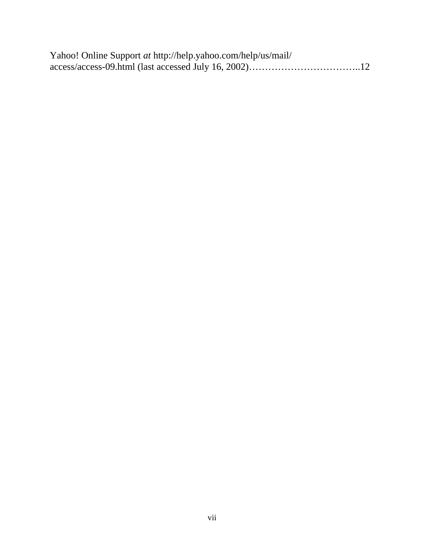| Yahoo! Online Support at http://help.yahoo.com/help/us/mail/ |  |
|--------------------------------------------------------------|--|
|                                                              |  |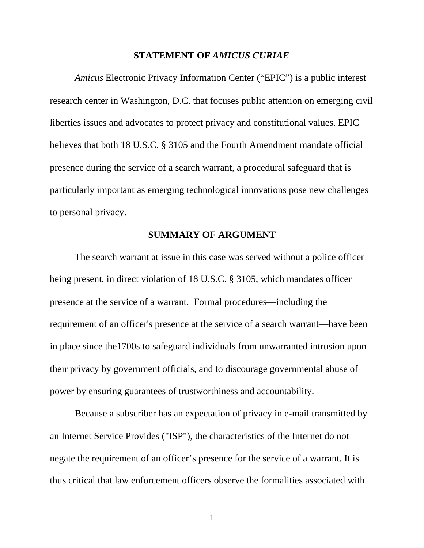#### **STATEMENT OF** *AMICUS CURIAE*

*Amicus* Electronic Privacy Information Center ("EPIC") is a public interest research center in Washington, D.C. that focuses public attention on emerging civil liberties issues and advocates to protect privacy and constitutional values. EPIC believes that both 18 U.S.C. § 3105 and the Fourth Amendment mandate official presence during the service of a search warrant, a procedural safeguard that is particularly important as emerging technological innovations pose new challenges to personal privacy.

### **SUMMARY OF ARGUMENT**

The search warrant at issue in this case was served without a police officer being present, in direct violation of 18 U.S.C. § 3105, which mandates officer presence at the service of a warrant. Formal procedures––including the requirement of an officer's presence at the service of a search warrant––have been in place since the1700s to safeguard individuals from unwarranted intrusion upon their privacy by government officials, and to discourage governmental abuse of power by ensuring guarantees of trustworthiness and accountability.

Because a subscriber has an expectation of privacy in e-mail transmitted by an Internet Service Provides ("ISP"), the characteristics of the Internet do not negate the requirement of an officer's presence for the service of a warrant. It is thus critical that law enforcement officers observe the formalities associated with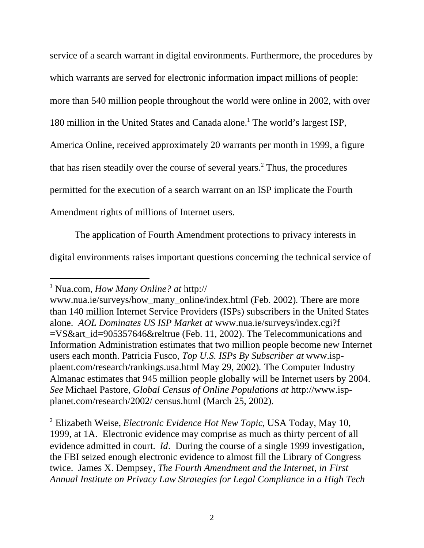service of a search warrant in digital environments. Furthermore, the procedures by which warrants are served for electronic information impact millions of people: more than 540 million people throughout the world were online in 2002, with over 180 million in the United States and Canada alone.<sup>1</sup> The world's largest ISP, America Online, received approximately 20 warrants per month in 1999, a figure that has risen steadily over the course of several years.<sup>2</sup> Thus, the procedures permitted for the execution of a search warrant on an ISP implicate the Fourth Amendment rights of millions of Internet users.

The application of Fourth Amendment protections to privacy interests in digital environments raises important questions concerning the technical service of

l

<sup>1</sup> Nua.com, *How Many Online? at* <http://>

www.nua.ie/surveys/how\_many\_online/index.html (Feb. 2002). There are more than 140 million Internet Service Providers (ISPs) subscribers in the United States alone. *AOL Dominates US ISP Market at* www.nua.ie/surveys/index.cgi?f =VS&art\_id=905357646&reltrue (Feb. 11, 2002). The Telecommunications and Information Administration estimates that two million people become new Internet users each month. Patricia Fusco, *Top U.S. ISPs By Subscriber at* www.ispplaent.com/research/rankings.usa.html May 29, 2002)*.* The Computer Industry Almanac estimates that 945 million people globally will be Internet users by 2004. *See* Michael Pastore, *Global Census of Online Populations at* [http://www.isp](http://www.isp-)planet.com/research/2002/ census.html (March 25, 2002).

<sup>2</sup> Elizabeth Weise, *Electronic Evidence Hot New Topic*, USA Today, May 10, 1999, at 1A. Electronic evidence may comprise as much as thirty percent of all evidence admitted in court. *Id*. During the course of a single 1999 investigation, the FBI seized enough electronic evidence to almost fill the Library of Congress twice. James X. Dempsey*, The Fourth Amendment and the Internet*, *in First Annual Institute on Privacy Law Strategies for Legal Compliance in a High Tech*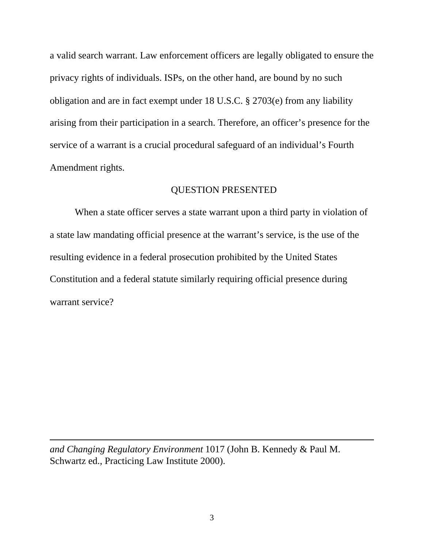a valid search warrant. Law enforcement officers are legally obligated to ensure the privacy rights of individuals. ISPs, on the other hand, are bound by no such obligation and are in fact exempt under 18 U.S.C. § 2703(e) from any liability arising from their participation in a search. Therefore, an officer's presence for the service of a warrant is a crucial procedural safeguard of an individual's Fourth Amendment rights.

### QUESTION PRESENTED

When a state officer serves a state warrant upon a third party in violation of a state law mandating official presence at the warrant's service, is the use of the resulting evidence in a federal prosecution prohibited by the United States Constitution and a federal statute similarly requiring official presence during warrant service?

*and Changing Regulatory Environment* 1017 (John B. Kennedy & Paul M. Schwartz ed., Practicing Law Institute 2000).

l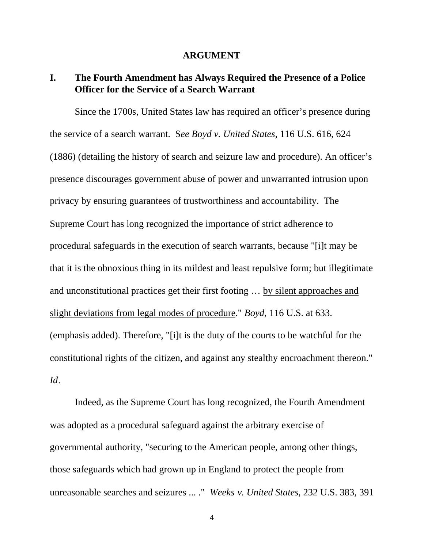#### **ARGUMENT**

## **I. The Fourth Amendment has Always Required the Presence of a Police Officer for the Service of a Search Warrant**

Since the 1700s, United States law has required an officer's presence during the service of a search warrant. S*ee Boyd v. United States,* 116 U.S. 616, 624 (1886) (detailing the history of search and seizure law and procedure). An officer's presence discourages government abuse of power and unwarranted intrusion upon privacy by ensuring guarantees of trustworthiness and accountability. The Supreme Court has long recognized the importance of strict adherence to procedural safeguards in the execution of search warrants, because "[i]t may be that it is the obnoxious thing in its mildest and least repulsive form; but illegitimate and unconstitutional practices get their first footing … by silent approaches and slight deviations from legal modes of procedure." *Boyd*, 116 U.S. at 633. (emphasis added). Therefore, "[i]t is the duty of the courts to be watchful for the constitutional rights of the citizen, and against any stealthy encroachment thereon." *Id*.

Indeed, as the Supreme Court has long recognized, the Fourth Amendment was adopted as a procedural safeguard against the arbitrary exercise of governmental authority, "securing to the American people, among other things, those safeguards which had grown up in England to protect the people from unreasonable searches and seizures ... ." *Weeks v. United States*, 232 U.S. 383, 391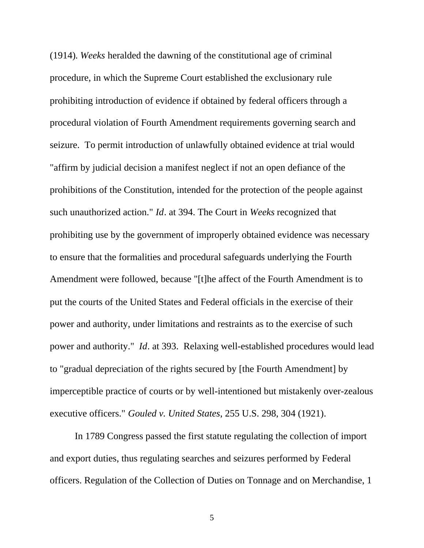(1914). *Weeks* heralded the dawning of the constitutional age of criminal procedure, in which the Supreme Court established the exclusionary rule prohibiting introduction of evidence if obtained by federal officers through a procedural violation of Fourth Amendment requirements governing search and seizure. To permit introduction of unlawfully obtained evidence at trial would "affirm by judicial decision a manifest neglect if not an open defiance of the prohibitions of the Constitution, intended for the protection of the people against such unauthorized action." *Id*. at 394. The Court in *Weeks* recognized that prohibiting use by the government of improperly obtained evidence was necessary to ensure that the formalities and procedural safeguards underlying the Fourth Amendment were followed, because "[t]he affect of the Fourth Amendment is to put the courts of the United States and Federal officials in the exercise of their power and authority, under limitations and restraints as to the exercise of such power and authority." *Id*. at 393. Relaxing well-established procedures would lead to "gradual depreciation of the rights secured by [the Fourth Amendment] by imperceptible practice of courts or by well-intentioned but mistakenly over-zealous executive officers." *Gouled v. United States*, 255 U.S. 298, 304 (1921).

In 1789 Congress passed the first statute regulating the collection of import and export duties, thus regulating searches and seizures performed by Federal officers. Regulation of the Collection of Duties on Tonnage and on Merchandise, 1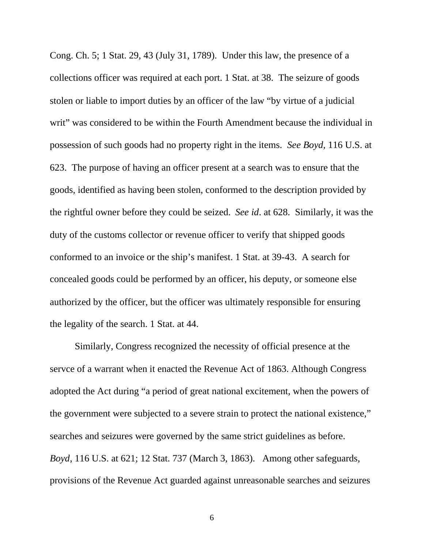Cong. Ch. 5; 1 Stat. 29, 43 (July 31, 1789). Under this law, the presence of a collections officer was required at each port. 1 Stat. at 38. The seizure of goods stolen or liable to import duties by an officer of the law "by virtue of a judicial writ" was considered to be within the Fourth Amendment because the individual in possession of such goods had no property right in the items. *See Boyd,* 116 U.S. at 623. The purpose of having an officer present at a search was to ensure that the goods, identified as having been stolen, conformed to the description provided by the rightful owner before they could be seized. *See id*. at 628. Similarly, it was the duty of the customs collector or revenue officer to verify that shipped goods conformed to an invoice or the ship's manifest. 1 Stat. at 39-43. A search for concealed goods could be performed by an officer, his deputy, or someone else authorized by the officer, but the officer was ultimately responsible for ensuring the legality of the search. 1 Stat. at 44.

Similarly, Congress recognized the necessity of official presence at the servce of a warrant when it enacted the Revenue Act of 1863. Although Congress adopted the Act during "a period of great national excitement, when the powers of the government were subjected to a severe strain to protect the national existence," searches and seizures were governed by the same strict guidelines as before. *Boyd*, 116 U.S. at 621; 12 Stat. 737 (March 3, 1863). Among other safeguards, provisions of the Revenue Act guarded against unreasonable searches and seizures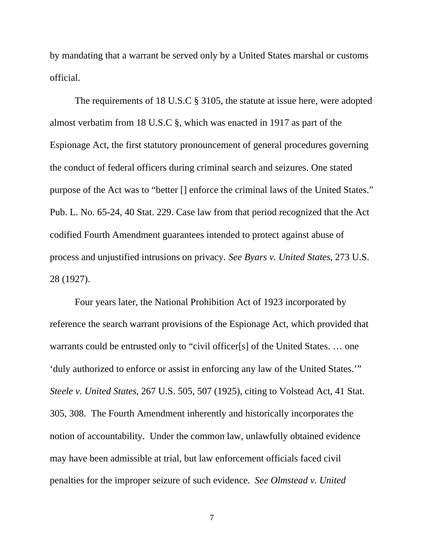by mandating that a warrant be served only by a United States marshal or customs official.

The requirements of 18 U.S.C § 3105, the statute at issue here, were adopted almost verbatim from 18 U.S.C §, which was enacted in 1917 as part of the Espionage Act, the first statutory pronouncement of general procedures governing the conduct of federal officers during criminal search and seizures. One stated purpose of the Act was to "better [] enforce the criminal laws of the United States." Pub. L. No. 65-24, 40 Stat. 229. Case law from that period recognized that the Act codified Fourth Amendment guarantees intended to protect against abuse of process and unjustified intrusions on privacy. *See Byars v. United States*, 273 U.S. 28 (1927).

Four years later, the National Prohibition Act of 1923 incorporated by reference the search warrant provisions of the Espionage Act, which provided that warrants could be entrusted only to "civil officer[s] of the United States. ... one 'duly authorized to enforce or assist in enforcing any law of the United States.'" *Steele v. United States*, 267 U.S. 505, 507 (1925), citing to Volstead Act, 41 Stat. 305, 308. The Fourth Amendment inherently and historically incorporates the notion of accountability. Under the common law, unlawfully obtained evidence may have been admissible at trial, but law enforcement officials faced civil penalties for the improper seizure of such evidence. *See Olmstead v. United*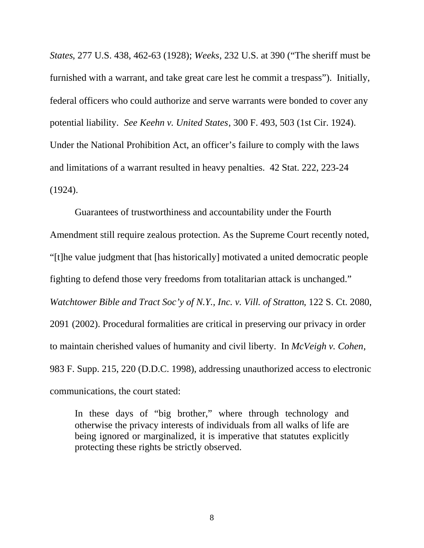*States*, 277 U.S. 438, 462-63 (1928); *Weeks*, 232 U.S. at 390 ("The sheriff must be furnished with a warrant, and take great care lest he commit a trespass"). Initially, federal officers who could authorize and serve warrants were bonded to cover any potential liability. *See Keehn v. United States*, 300 F. 493, 503 (1st Cir. 1924). Under the National Prohibition Act, an officer's failure to comply with the laws and limitations of a warrant resulted in heavy penalties. 42 Stat. 222, 223-24 (1924).

Guarantees of trustworthiness and accountability under the Fourth Amendment still require zealous protection. As the Supreme Court recently noted, "[t]he value judgment that [has historically] motivated a united democratic people fighting to defend those very freedoms from totalitarian attack is unchanged." *Watchtower Bible and Tract Soc'y of N.Y., Inc. v. Vill. of Stratton*, 122 S. Ct. 2080, 2091 (2002). Procedural formalities are critical in preserving our privacy in order to maintain cherished values of humanity and civil liberty. In *McVeigh v. Cohen*, 983 F. Supp. 215, 220 (D.D.C. 1998), addressing unauthorized access to electronic communications, the court stated:

In these days of "big brother," where through technology and otherwise the privacy interests of individuals from all walks of life are being ignored or marginalized, it is imperative that statutes explicitly protecting these rights be strictly observed.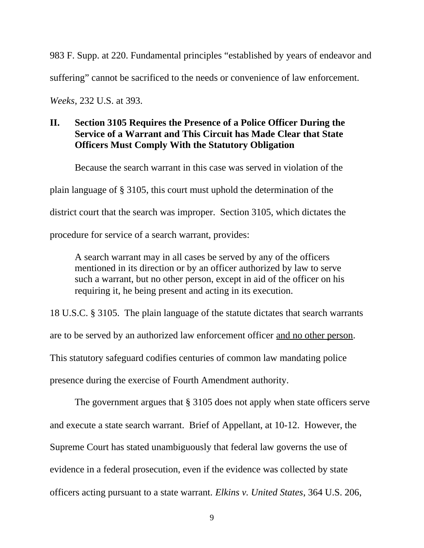983 F. Supp. at 220. Fundamental principles "established by years of endeavor and suffering" cannot be sacrificed to the needs or convenience of law enforcement.

*Weeks*, 232 U.S. at 393.

## **II. Section 3105 Requires the Presence of a Police Officer During the Service of a Warrant and This Circuit has Made Clear that State Officers Must Comply With the Statutory Obligation**

Because the search warrant in this case was served in violation of the

plain language of § 3105, this court must uphold the determination of the

district court that the search was improper. Section 3105, which dictates the

procedure for service of a search warrant, provides:

A search warrant may in all cases be served by any of the officers mentioned in its direction or by an officer authorized by law to serve such a warrant, but no other person, except in aid of the officer on his requiring it, he being present and acting in its execution.

18 U.S.C. § 3105. The plain language of the statute dictates that search warrants are to be served by an authorized law enforcement officer and no other person. This statutory safeguard codifies centuries of common law mandating police presence during the exercise of Fourth Amendment authority.

The government argues that § 3105 does not apply when state officers serve and execute a state search warrant. Brief of Appellant, at 10-12. However, the Supreme Court has stated unambiguously that federal law governs the use of evidence in a federal prosecution, even if the evidence was collected by state officers acting pursuant to a state warrant. *Elkins v. United States*, 364 U.S. 206,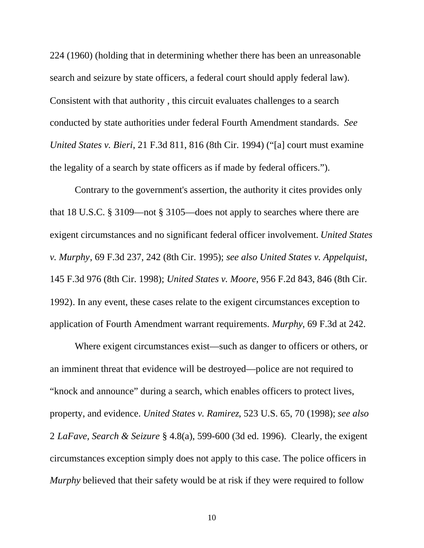224 (1960) (holding that in determining whether there has been an unreasonable search and seizure by state officers, a federal court should apply federal law). Consistent with that authority , this circuit evaluates challenges to a search conducted by state authorities under federal Fourth Amendment standards. *See United States v. Bieri*, 21 F.3d 811, 816 (8th Cir. 1994) ("[a] court must examine the legality of a search by state officers as if made by federal officers.").

Contrary to the government's assertion, the authority it cites provides only that 18 U.S.C. § 3109––not § 3105––does not apply to searches where there are exigent circumstances and no significant federal officer involvement. *United States v. Murphy*, 69 F.3d 237, 242 (8th Cir. 1995); *see also United States v. Appelquist*, 145 F.3d 976 (8th Cir. 1998); *United States v. Moore*, 956 F.2d 843, 846 (8th Cir. 1992). In any event, these cases relate to the exigent circumstances exception to application of Fourth Amendment warrant requirements. *Murphy*, 69 F.3d at 242.

Where exigent circumstances exist—such as danger to officers or others, or an imminent threat that evidence will be destroyed––police are not required to "knock and announce" during a search, which enables officers to protect lives, property, and evidence. *United States v. Ramirez*, 523 U.S. 65, 70 (1998); *see also* 2 *LaFave, Search & Seizure* § 4.8(a), 599-600 (3d ed. 1996). Clearly, the exigent circumstances exception simply does not apply to this case. The police officers in *Murphy* believed that their safety would be at risk if they were required to follow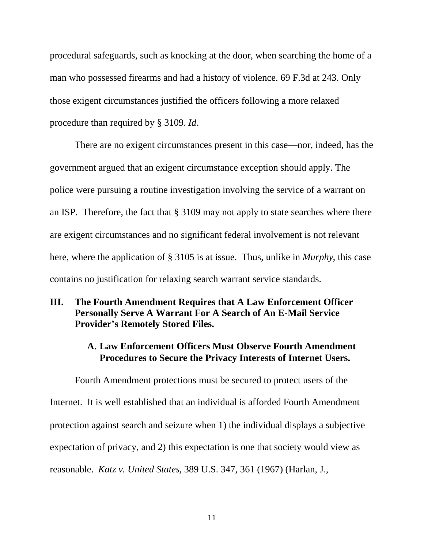procedural safeguards, such as knocking at the door, when searching the home of a man who possessed firearms and had a history of violence. 69 F.3d at 243. Only those exigent circumstances justified the officers following a more relaxed procedure than required by § 3109. *Id*.

There are no exigent circumstances present in this case—nor, indeed, has the government argued that an exigent circumstance exception should apply. The police were pursuing a routine investigation involving the service of a warrant on an ISP. Therefore, the fact that § 3109 may not apply to state searches where there are exigent circumstances and no significant federal involvement is not relevant here, where the application of § 3105 is at issue. Thus, unlike in *Murphy*, this case contains no justification for relaxing search warrant service standards.

## **III. The Fourth Amendment Requires that A Law Enforcement Officer Personally Serve A Warrant For A Search of An E-Mail Service Provider's Remotely Stored Files.**

## **A. Law Enforcement Officers Must Observe Fourth Amendment Procedures to Secure the Privacy Interests of Internet Users.**

Fourth Amendment protections must be secured to protect users of the Internet. It is well established that an individual is afforded Fourth Amendment protection against search and seizure when 1) the individual displays a subjective expectation of privacy, and 2) this expectation is one that society would view as reasonable. *Katz v. United States*, 389 U.S. 347, 361 (1967) (Harlan, J.,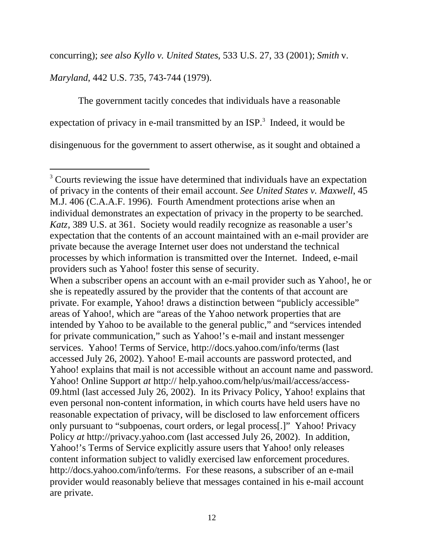concurring); *see also Kyllo v. United States*, 533 U.S. 27, 33 (2001); *Smith* v.

*Maryland*, 442 U.S. 735, 743-744 (1979).

l

The government tacitly concedes that individuals have a reasonable expectation of privacy in e-mail transmitted by an  $ISP.^3$  Indeed, it would be disingenuous for the government to assert otherwise, as it sought and obtained a

<sup>&</sup>lt;sup>3</sup> Courts reviewing the issue have determined that individuals have an expectation of privacy in the contents of their email account. *See United States v. Maxwell*, 45 M.J. 406 (C.A.A.F. 1996). Fourth Amendment protections arise when an individual demonstrates an expectation of privacy in the property to be searched. *Katz*, 389 U.S. at 361. Society would readily recognize as reasonable a user's expectation that the contents of an account maintained with an e-mail provider are private because the average Internet user does not understand the technical processes by which information is transmitted over the Internet. Indeed, e-mail providers such as Yahoo! foster this sense of security.

When a subscriber opens an account with an e-mail provider such as Yahoo!, he or she is repeatedly assured by the provider that the contents of that account are private. For example, Yahoo! draws a distinction between "publicly accessible" areas of Yahoo!, which are "areas of the Yahoo network properties that are intended by Yahoo to be available to the general public," and "services intended for private communication," such as Yahoo!'s e-mail and instant messenger services. Yahoo! Terms of Service,<http://docs.yahoo.com/info/terms> (last accessed July 26, 2002). Yahoo! E-mail accounts are password protected, and Yahoo! explains that mail is not accessible without an account name and password. Yahoo! Online Support *at* <http://>help.yahoo.com/help/us/mail/access/access-09.html (last accessed July 26, 2002). In its Privacy Policy, Yahoo! explains that even personal non-content information, in which courts have held users have no reasonable expectation of privacy, will be disclosed to law enforcement officers only pursuant to "subpoenas, court orders, or legal process[.]" Yahoo! Privacy Policy *at* <http://privacy.yahoo.com> (last accessed July 26, 2002). In addition, Yahoo!'s Terms of Service explicitly assure users that Yahoo! only releases content information subject to validly exercised law enforcement procedures. [http://docs.yahoo.com/info/terms.](http://docs.yahoo.com/info/terms) For these reasons, a subscriber of an e-mail provider would reasonably believe that messages contained in his e-mail account are private.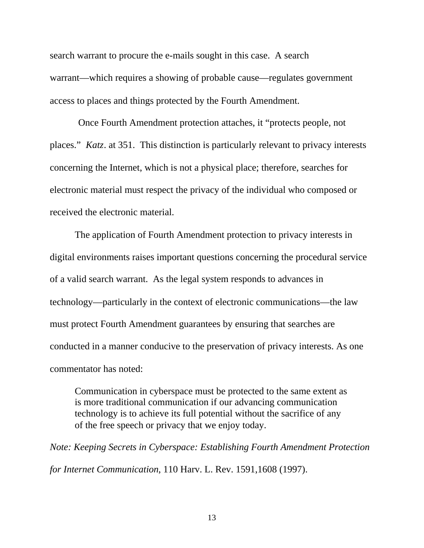search warrant to procure the e-mails sought in this case. A search warrant—which requires a showing of probable cause—regulates government access to places and things protected by the Fourth Amendment.

Once Fourth Amendment protection attaches, it "protects people, not places." *Katz*. at 351. This distinction is particularly relevant to privacy interests concerning the Internet, which is not a physical place; therefore, searches for electronic material must respect the privacy of the individual who composed or received the electronic material.

The application of Fourth Amendment protection to privacy interests in digital environments raises important questions concerning the procedural service of a valid search warrant. As the legal system responds to advances in technology—particularly in the context of electronic communications—the law must protect Fourth Amendment guarantees by ensuring that searches are conducted in a manner conducive to the preservation of privacy interests. As one commentator has noted:

Communication in cyberspace must be protected to the same extent as is more traditional communication if our advancing communication technology is to achieve its full potential without the sacrifice of any of the free speech or privacy that we enjoy today.

*Note: Keeping Secrets in Cyberspace: Establishing Fourth Amendment Protection for Internet Communication*, 110 Harv. L. Rev. 1591,1608 (1997).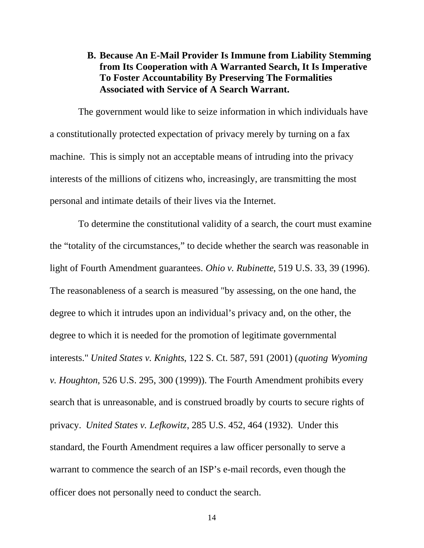## **B. Because An E-Mail Provider Is Immune from Liability Stemming from Its Cooperation with A Warranted Search, It Is Imperative To Foster Accountability By Preserving The Formalities Associated with Service of A Search Warrant.**

The government would like to seize information in which individuals have a constitutionally protected expectation of privacy merely by turning on a fax machine. This is simply not an acceptable means of intruding into the privacy interests of the millions of citizens who, increasingly, are transmitting the most personal and intimate details of their lives via the Internet.

To determine the constitutional validity of a search, the court must examine the "totality of the circumstances," to decide whether the search was reasonable in light of Fourth Amendment guarantees. *Ohio v. Rubinette*, 519 U.S. 33, 39 (1996). The reasonableness of a search is measured "by assessing, on the one hand, the degree to which it intrudes upon an individual's privacy and, on the other, the degree to which it is needed for the promotion of legitimate governmental interests." *United States v. Knights*, 122 S. Ct. 587, 591 (2001) (*quoting Wyoming v. Houghton*, 526 U.S. 295, 300 (1999)). The Fourth Amendment prohibits every search that is unreasonable, and is construed broadly by courts to secure rights of privacy. *United States v. Lefkowitz*, 285 U.S. 452, 464 (1932). Under this standard, the Fourth Amendment requires a law officer personally to serve a warrant to commence the search of an ISP's e-mail records, even though the officer does not personally need to conduct the search.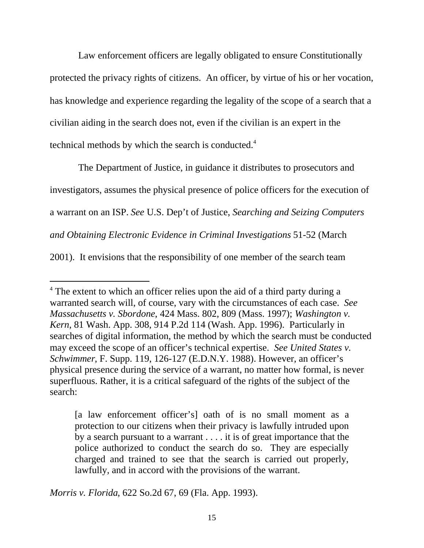Law enforcement officers are legally obligated to ensure Constitutionally protected the privacy rights of citizens. An officer, by virtue of his or her vocation, has knowledge and experience regarding the legality of the scope of a search that a civilian aiding in the search does not, even if the civilian is an expert in the technical methods by which the search is conducted.<sup>4</sup>

The Department of Justice, in guidance it distributes to prosecutors and investigators, assumes the physical presence of police officers for the execution of a warrant on an ISP. *See* U.S. Dep't of Justice, *Searching and Seizing Computers and Obtaining Electronic Evidence in Criminal Investigations* 51-52 (March 2001). It envisions that the responsibility of one member of the search team

*Morris v. Florida*, 622 So.2d 67, 69 (Fla. App. 1993).

l

<sup>&</sup>lt;sup>4</sup> The extent to which an officer relies upon the aid of a third party during a warranted search will, of course, vary with the circumstances of each case. *See Massachusetts v. Sbordone*, 424 Mass. 802, 809 (Mass. 1997); *Washington v. Kern*, 81 Wash. App. 308, 914 P.2d 114 (Wash. App. 1996). Particularly in searches of digital information, the method by which the search must be conducted may exceed the scope of an officer's technical expertise. *See United States v. Schwimmer*, F. Supp. 119, 126-127 (E.D.N.Y. 1988). However, an officer's physical presence during the service of a warrant, no matter how formal, is never superfluous. Rather, it is a critical safeguard of the rights of the subject of the search:

<sup>[</sup>a law enforcement officer's] oath of is no small moment as a protection to our citizens when their privacy is lawfully intruded upon by a search pursuant to a warrant . . . . it is of great importance that the police authorized to conduct the search do so. They are especially charged and trained to see that the search is carried out properly, lawfully, and in accord with the provisions of the warrant.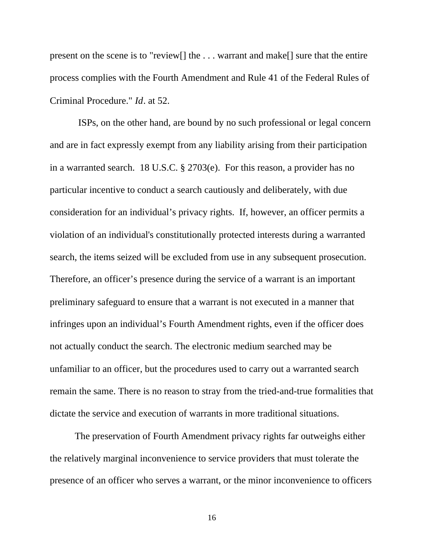present on the scene is to "review[] the . . . warrant and make[] sure that the entire process complies with the Fourth Amendment and Rule 41 of the Federal Rules of Criminal Procedure." *Id*. at 52.

ISPs, on the other hand, are bound by no such professional or legal concern and are in fact expressly exempt from any liability arising from their participation in a warranted search. 18 U.S.C. § 2703(e). For this reason, a provider has no particular incentive to conduct a search cautiously and deliberately, with due consideration for an individual's privacy rights. If, however, an officer permits a violation of an individual's constitutionally protected interests during a warranted search, the items seized will be excluded from use in any subsequent prosecution. Therefore, an officer's presence during the service of a warrant is an important preliminary safeguard to ensure that a warrant is not executed in a manner that infringes upon an individual's Fourth Amendment rights, even if the officer does not actually conduct the search. The electronic medium searched may be unfamiliar to an officer, but the procedures used to carry out a warranted search remain the same. There is no reason to stray from the tried-and-true formalities that dictate the service and execution of warrants in more traditional situations.

The preservation of Fourth Amendment privacy rights far outweighs either the relatively marginal inconvenience to service providers that must tolerate the presence of an officer who serves a warrant, or the minor inconvenience to officers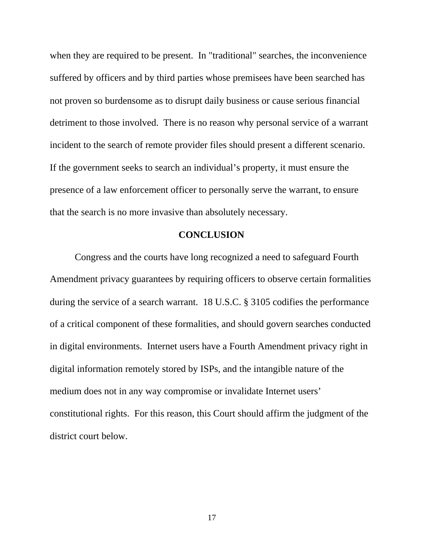when they are required to be present. In "traditional" searches, the inconvenience suffered by officers and by third parties whose premisees have been searched has not proven so burdensome as to disrupt daily business or cause serious financial detriment to those involved. There is no reason why personal service of a warrant incident to the search of remote provider files should present a different scenario. If the government seeks to search an individual's property, it must ensure the presence of a law enforcement officer to personally serve the warrant, to ensure that the search is no more invasive than absolutely necessary.

### **CONCLUSION**

Congress and the courts have long recognized a need to safeguard Fourth Amendment privacy guarantees by requiring officers to observe certain formalities during the service of a search warrant. 18 U.S.C. § 3105 codifies the performance of a critical component of these formalities, and should govern searches conducted in digital environments. Internet users have a Fourth Amendment privacy right in digital information remotely stored by ISPs, and the intangible nature of the medium does not in any way compromise or invalidate Internet users' constitutional rights. For this reason, this Court should affirm the judgment of the district court below.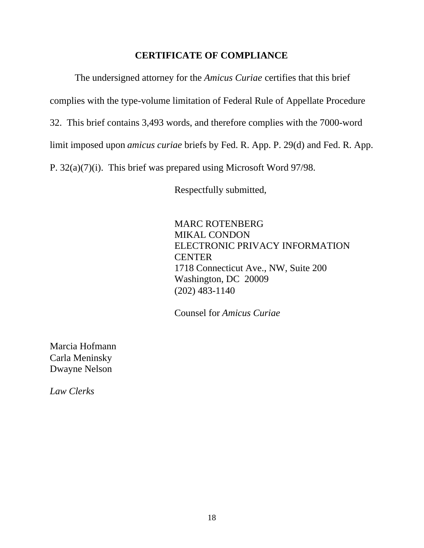### **CERTIFICATE OF COMPLIANCE**

The undersigned attorney for the *Amicus Curiae* certifies that this brief complies with the type-volume limitation of Federal Rule of Appellate Procedure 32. This brief contains 3,493 words, and therefore complies with the 7000-word limit imposed upon *amicus curiae* briefs by Fed. R. App. P. 29(d) and Fed. R. App. P. 32(a)(7)(i). This brief was prepared using Microsoft Word 97/98.

Respectfully submitted,

MARC ROTENBERG MIKAL CONDON ELECTRONIC PRIVACY INFORMATION **CENTER** 1718 Connecticut Ave., NW, Suite 200 Washington, DC 20009 (202) 483-1140

Counsel for *Amicus Curiae*

Marcia Hofmann Carla Meninsky Dwayne Nelson

*Law Clerks*